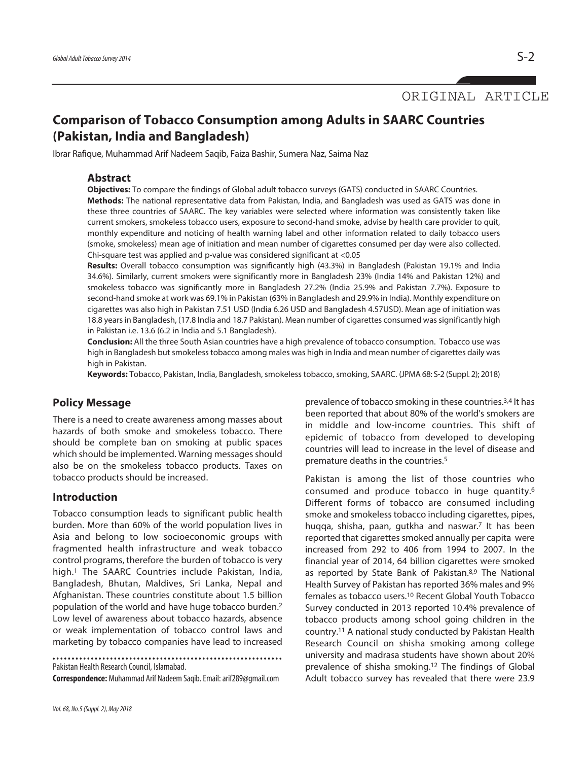ORIGINAL ARTICLE

# **Comparison of Tobacco Consumption among Adults in SAARC Countries (Pakistan, India and Bangladesh)**

Ibrar Rafique, Muhammad Arif Nadeem Saqib, Faiza Bashir, Sumera Naz, Saima Naz

#### **Abstract**

**Objectives:** To compare the findings of Global adult tobacco surveys (GATS) conducted in SAARC Countries. **Methods:** The national representative data from Pakistan, India, and Bangladesh was used as GATS was done in these three countries of SAARC. The key variables were selected where information was consistently taken like current smokers, smokeless tobacco users, exposure to second-hand smoke, advise by health care provider to quit, monthly expenditure and noticing of health warning label and other information related to daily tobacco users (smoke, smokeless) mean age of initiation and mean number of cigarettes consumed per day were also collected. Chi-square test was applied and p-value was considered significant at <0.05

**Results:** Overall tobacco consumption was significantly high (43.3%) in Bangladesh (Pakistan 19.1% and India 34.6%). Similarly, current smokers were significantly more in Bangladesh 23% (India 14% and Pakistan 12%) and smokeless tobacco was significantly more in Bangladesh 27.2% (India 25.9% and Pakistan 7.7%). Exposure to second-hand smoke at work was 69.1% in Pakistan (63% in Bangladesh and 29.9% in India). Monthly expenditure on cigarettes was also high in Pakistan 7.51 USD (India 6.26 USD and Bangladesh 4.57USD). Mean age of initiation was 18.8 years in Bangladesh, (17.8 India and 18.7 Pakistan). Mean number of cigarettes consumed was significantly high in Pakistan i.e. 13.6 (6.2 in India and 5.1 Bangladesh).

**Conclusion:** All the three South Asian countries have a high prevalence of tobacco consumption. Tobacco use was high in Bangladesh but smokeless tobacco among males was high in India and mean number of cigarettes daily was high in Pakistan.

**Keywords:** Tobacco, Pakistan, India, Bangladesh, smokeless tobacco, smoking, SAARC. (JPMA 68: S-2 (Suppl. 2); 2018)

## **Policy Message**

There is a need to create awareness among masses about hazards of both smoke and smokeless tobacco. There should be complete ban on smoking at public spaces which should be implemented. Warning messages should also be on the smokeless tobacco products. Taxes on tobacco products should be increased.

#### **Introduction**

Tobacco consumption leads to significant public health burden. More than 60% of the world population lives in Asia and belong to low socioeconomic groups with fragmented health infrastructure and weak tobacco control programs, therefore the burden of tobacco is very high. <sup>1</sup> The SAARC Countries include Pakistan, India, Bangladesh, Bhutan, Maldives, Sri Lanka, Nepal and Afghanistan. These countries constitute about 1.5 billion population of the world and have huge tobacco burden. 2 Low level of awareness about tobacco hazards, absence or weak implementation of tobacco control laws and marketing by tobacco companies have lead to increased

Pakistan Health Research Council, Islamabad.

**Correspondence:** Muhammad Arif Nadeem Saqib.Email:arif289@gmail.com

prevalence of tobacco smoking in these countries.<sup>3,4</sup> It has been reported that about 80% of the world's smokers are in middle and low-income countries. This shift of epidemic of tobacco from developed to developing countries will lead to increase in the level of disease and premature deaths in the countries. 5

Pakistan is among the list of those countries who consumed and produce tobacco in huge quantity. 6 Different forms of tobacco are consumed including smoke and smokeless tobacco including cigarettes, pipes, huqqa, shisha, paan, gutkha and naswar. <sup>7</sup> It has been reported that cigarettes smoked annually per capita were increased from 292 to 406 from 1994 to 2007. In the financial year of 2014, 64 billion cigarettes were smoked as reported by State Bank of Pakistan. 8,9 The National Health Survey of Pakistan has reported 36% males and 9% females as tobacco users. <sup>10</sup> Recent Global Youth Tobacco Survey conducted in 2013 reported 10.4% prevalence of tobacco products among school going children in the country. <sup>11</sup> A national study conducted by Pakistan Health Research Council on shisha smoking among college university and madrasa students have shown about 20% prevalence of shisha smoking. <sup>12</sup> The findings of Global Adult tobacco survey has revealed that there were 23.9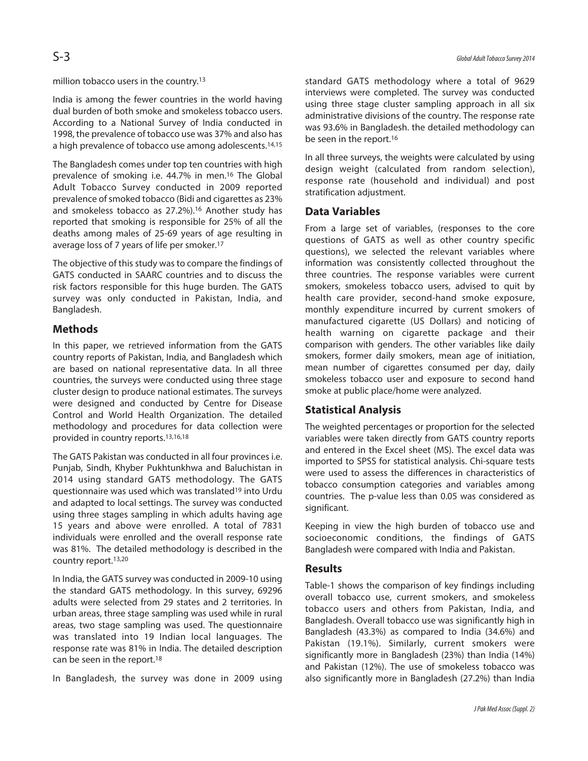million tobacco users in the country. 13

India is among the fewer countries in the world having dual burden of both smoke and smokeless tobacco users. According to a National Survey of India conducted in 1998, the prevalence of tobacco use was 37% and also has a high prevalence of tobacco use among adolescents. 14,15

The Bangladesh comes under top ten countries with high prevalence of smoking i.e. 44.7% in men. <sup>16</sup> The Global Adult Tobacco Survey conducted in 2009 reported prevalence ofsmoked tobacco (Bidi and cigarettes as 23% and smokeless tobacco as 27.2%). <sup>16</sup> Another study has reported that smoking is responsible for 25% of all the deaths among males of 25-69 years of age resulting in average loss of 7 years of life per smoker. 17

The objective of this study was to compare the findings of GATS conducted in SAARC countries and to discuss the risk factors responsible for this huge burden. The GATS survey was only conducted in Pakistan, India, and Bangladesh.

# **Methods**

In this paper, we retrieved information from the GATS country reports of Pakistan, India, and Bangladesh which are based on national representative data. In all three countries, the surveys were conducted using three stage cluster design to produce national estimates. The surveys were designed and conducted by Centre for Disease Control and World Health Organization. The detailed methodology and procedures for data collection were provided in country reports. 13,16,18

The GATS Pakistan was conducted in all four provinces i.e. Punjab, Sindh, Khyber Pukhtunkhwa and Baluchistan in 2014 using standard GATS methodology. The GATS questionnaire was used which was translated19 into Urdu and adapted to local settings. The survey was conducted using three stages sampling in which adults having age 15 years and above were enrolled. A total of 7831 individuals were enrolled and the overall response rate was 81%. The detailed methodology is described in the country report. 13,20

In India, the GATS survey was conducted in 2009-10 using the standard GATS methodology. In this survey, 69296 adults were selected from 29 states and 2 territories. In urban areas, three stage sampling was used while in rural areas, two stage sampling was used. The questionnaire was translated into 19 Indian local languages. The response rate was 81% in India. The detailed description can be seen in the report. 18

In Bangladesh, the survey was done in 2009 using

standard GATS methodology where a total of 9629 interviews were completed. The survey was conducted using three stage cluster sampling approach in all six administrative divisions of the country. The response rate was 93.6% in Bangladesh. the detailed methodology can be seen in the report. 16

In all three surveys, the weights were calculated by using design weight (calculated from random selection), response rate (household and individual) and post stratification adjustment.

# **Data Variables**

From a large set of variables, (responses to the core questions of GATS as well as other country specific questions), we selected the relevant variables where information was consistently collected throughout the three countries. The response variables were current smokers, smokeless tobacco users, advised to quit by health care provider, second-hand smoke exposure, monthly expenditure incurred by current smokers of manufactured cigarette (US Dollars) and noticing of health warning on cigarette package and their comparison with genders. The other variables like daily smokers, former daily smokers, mean age of initiation, mean number of cigarettes consumed per day, daily smokeless tobacco user and exposure to second hand smoke at public place/home were analyzed.

# **Statistical Analysis**

The weighted percentages or proportion for the selected variables were taken directly from GATS country reports and entered in the Excel sheet (MS). The excel data was imported to SPSS for statistical analysis. Chi-square tests were used to assess the differences in characteristics of tobacco consumption categories and variables among countries. The p-value less than 0.05 was considered as significant.

Keeping in view the high burden of tobacco use and socioeconomic conditions, the findings of GATS Bangladesh were compared with India and Pakistan.

#### **Results**

Table-1 shows the comparison of key findings including overall tobacco use, current smokers, and smokeless tobacco users and others from Pakistan, India, and Bangladesh. Overall tobacco use was significantly high in Bangladesh (43.3%) as compared to India (34.6%) and Pakistan (19.1%). Similarly, current smokers were significantly more in Bangladesh (23%) than India (14%) and Pakistan (12%). The use of smokeless tobacco was also significantly more in Bangladesh (27.2%) than India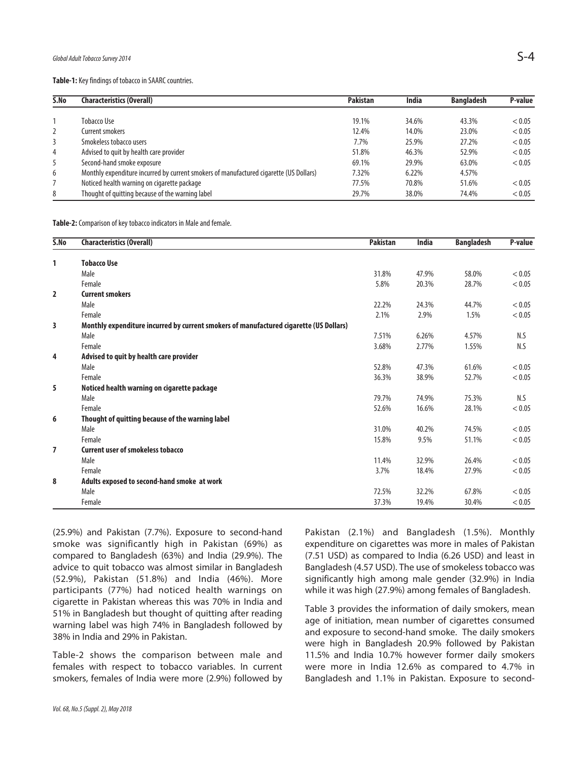Table-1: Key findings of tobacco in SAARC countries.

| S.No | <b>Characteristics (Overall)</b>                                                       | <b>Pakistan</b> | <b>India</b> | <b>Bangladesh</b> | P-value |
|------|----------------------------------------------------------------------------------------|-----------------|--------------|-------------------|---------|
|      |                                                                                        |                 |              |                   |         |
|      | Tobacco Use                                                                            | 19.1%           | 34.6%        | 43.3%             | < 0.05  |
| 2    | Current smokers                                                                        | 12.4%           | 14.0%        | 23.0%             | < 0.05  |
| 3    | Smokeless tobacco users                                                                | 7.7%            | 25.9%        | 27.2%             | < 0.05  |
| 4    | Advised to quit by health care provider                                                | 51.8%           | 46.3%        | 52.9%             | < 0.05  |
| 5    | Second-hand smoke exposure                                                             | 69.1%           | 29.9%        | 63.0%             | < 0.05  |
| 6    | Monthly expenditure incurred by current smokers of manufactured cigarette (US Dollars) | 7.32%           | 6.22%        | 4.57%             |         |
|      | Noticed health warning on cigarette package                                            | 77.5%           | 70.8%        | 51.6%             | < 0.05  |
| 8    | Thought of quitting because of the warning label                                       | 29.7%           | 38.0%        | 74.4%             | < 0.05  |

Table-2: Comparison of key tobacco indicators in Male and female.

| S.No           | <b>Characteristics (Overall)</b>                                                       | <b>Pakistan</b> | <b>India</b> | <b>Bangladesh</b> | P-value |
|----------------|----------------------------------------------------------------------------------------|-----------------|--------------|-------------------|---------|
| 1              | <b>Tobacco Use</b>                                                                     |                 |              |                   |         |
|                | Male                                                                                   | 31.8%           | 47.9%        | 58.0%             | < 0.05  |
|                | Female                                                                                 | 5.8%            | 20.3%        | 28.7%             | < 0.05  |
| $\overline{2}$ | <b>Current smokers</b>                                                                 |                 |              |                   |         |
|                | Male                                                                                   | 22.2%           | 24.3%        | 44.7%             | < 0.05  |
|                | Female                                                                                 | 2.1%            | 2.9%         | 1.5%              | < 0.05  |
| 3              | Monthly expenditure incurred by current smokers of manufactured cigarette (US Dollars) |                 |              |                   |         |
|                | Male                                                                                   | 7.51%           | 6.26%        | 4.57%             | N.S     |
|                | Female                                                                                 | 3.68%           | 2.77%        | 1.55%             | N.S     |
| 4              | Advised to quit by health care provider                                                |                 |              |                   |         |
|                | Male                                                                                   | 52.8%           | 47.3%        | 61.6%             | < 0.05  |
|                | Female                                                                                 | 36.3%           | 38.9%        | 52.7%             | < 0.05  |
| 5              | Noticed health warning on cigarette package                                            |                 |              |                   |         |
|                | Male                                                                                   | 79.7%           | 74.9%        | 75.3%             | N.S     |
|                | Female                                                                                 | 52.6%           | 16.6%        | 28.1%             | < 0.05  |
| 6              | Thought of quitting because of the warning label                                       |                 |              |                   |         |
|                | Male                                                                                   | 31.0%           | 40.2%        | 74.5%             | < 0.05  |
|                | Female                                                                                 | 15.8%           | 9.5%         | 51.1%             | < 0.05  |
| 7              | <b>Current user of smokeless tobacco</b>                                               |                 |              |                   |         |
|                | Male                                                                                   | 11.4%           | 32.9%        | 26.4%             | < 0.05  |
|                | Female                                                                                 | 3.7%            | 18.4%        | 27.9%             | < 0.05  |
| 8              | Adults exposed to second-hand smoke at work                                            |                 |              |                   |         |
|                | Male                                                                                   | 72.5%           | 32.2%        | 67.8%             | < 0.05  |
|                | Female                                                                                 | 37.3%           | 19.4%        | 30.4%             | < 0.05  |

(25.9%) and Pakistan (7.7%). Exposure to second-hand smoke was significantly high in Pakistan (69%) as compared to Bangladesh (63%) and India (29.9%). The advice to quit tobacco was almost similar in Bangladesh (52.9%), Pakistan (51.8%) and India (46%). More participants (77%) had noticed health warnings on cigarette in Pakistan whereas this was 70% in India and 51% in Bangladesh but thought of quitting after reading warning label was high 74% in Bangladesh followed by 38% in India and 29% in Pakistan.

Table-2 shows the comparison between male and females with respect to tobacco variables. In current smokers, females of India were more (2.9%) followed by Pakistan (2.1%) and Bangladesh (1.5%). Monthly expenditure on cigarettes was more in males of Pakistan (7.51 USD) as compared to India (6.26 USD) and least in Bangladesh (4.57 USD). The use of smokeless tobacco was significantly high among male gender (32.9%) in India while it was high (27.9%) among females of Bangladesh.

Table 3 provides the information of daily smokers, mean age of initiation, mean number of cigarettes consumed and exposure to second-hand smoke. The daily smokers were high in Bangladesh 20.9% followed by Pakistan 11.5% and India 10.7% however former daily smokers were more in India 12.6% as compared to 4.7% in Bangladesh and 1.1% in Pakistan. Exposure to second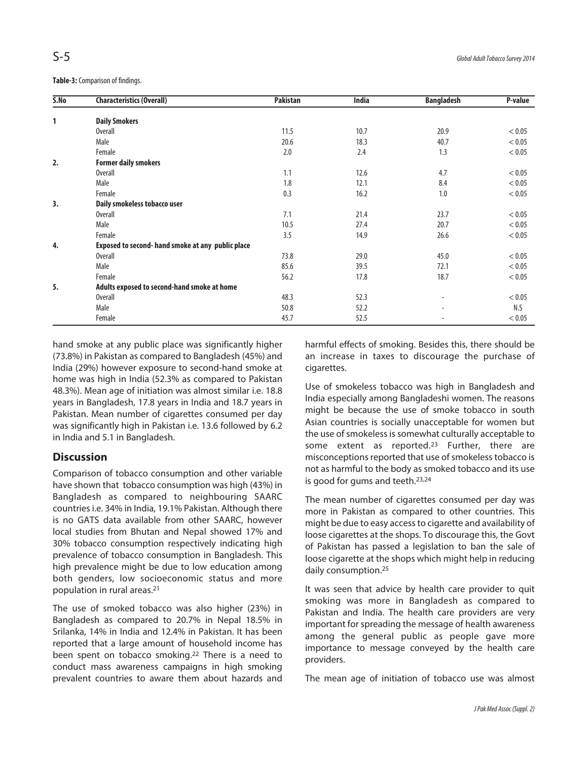**Table-3:**Comparison of findings.

| 5. No | <b>Characteristics (Overall)</b>                  | <b>Pakistan</b> | <b>India</b> | <b>Bangladesh</b> | P-value |
|-------|---------------------------------------------------|-----------------|--------------|-------------------|---------|
|       |                                                   |                 |              |                   |         |
| 1     | <b>Daily Smokers</b>                              |                 |              |                   |         |
|       | <b>Overall</b>                                    | 11.5            | 10.7         | 20.9              | < 0.05  |
|       | Male                                              | 20.6            | 18.3         | 40.7              | < 0.05  |
|       | Female                                            | 2.0             | 2.4          | 1.3               | < 0.05  |
| 2.    | <b>Former daily smokers</b>                       |                 |              |                   |         |
|       | <b>Overall</b>                                    | 1.1             | 12.6         | 4.7               | < 0.05  |
|       | Male                                              | 1.8             | 12.1         | 8.4               | < 0.05  |
|       | Female                                            | 0.3             | 16.2         | 1.0               | < 0.05  |
| 3.    | Daily smokeless tobacco user                      |                 |              |                   |         |
|       | <b>Overall</b>                                    | 7.1             | 21.4         | 23.7              | < 0.05  |
|       | Male                                              | 10.5            | 27.4         | 20.7              | < 0.05  |
|       | Female                                            | 3.5             | 14.9         | 26.6              | < 0.05  |
| 4.    | Exposed to second- hand smoke at any public place |                 |              |                   |         |
|       | <b>Overall</b>                                    | 73.8            | 29.0         | 45.0              | < 0.05  |
|       | Male                                              | 85.6            | 39.5         | 72.1              | < 0.05  |
|       | Female                                            | 56.2            | 17.8         | 18.7              | < 0.05  |
| 5.    | Adults exposed to second-hand smoke at home       |                 |              |                   |         |
|       | <b>Overall</b>                                    | 48.3            | 52.3         |                   | < 0.05  |
|       | Male                                              | 50.8            | 52.2         |                   | N.S     |
|       | Female                                            | 45.7            | 52.5         |                   | < 0.05  |

hand smoke at any public place was significantly higher (73.8%) in Pakistan as compared to Bangladesh (45%) and India (29%) however exposure to second-hand smoke at home was high in India (52.3% as compared to Pakistan 48.3%). Mean age of initiation was almost similar i.e. 18.8 years in Bangladesh, 17.8 years in India and 18.7 years in Pakistan. Mean number of cigarettes consumed per day was significantly high in Pakistan i.e. 13.6 followed by 6.2 in India and 5.1 in Bangladesh.

#### **Discussion**

Comparison of tobacco consumption and other variable have shown that tobacco consumption was high (43%) in Bangladesh as compared to neighbouring SAARC countries i.e. 34% in India, 19.1% Pakistan. Although there is no GATS data available from other SAARC, however local studies from Bhutan and Nepal showed 17% and 30% tobacco consumption respectively indicating high prevalence of tobacco consumption in Bangladesh. This high prevalence might be due to low education among both genders, low socioeconomic status and more population in rural areas. 21

The use of smoked tobacco was also higher (23%) in Bangladesh as compared to 20.7% in Nepal 18.5% in Srilanka, 14% in India and 12.4% in Pakistan. It has been reported that a large amount of household income has been spent on tobacco smoking. <sup>22</sup> There is a need to conduct mass awareness campaigns in high smoking prevalent countries to aware them about hazards and

harmful effects of smoking. Besides this, there should be an increase in taxes to discourage the purchase of cigarettes.

Use of smokeless tobacco was high in Bangladesh and India especially among Bangladeshi women. The reasons might be because the use of smoke tobacco in south Asian countries is socially unacceptable for women but the use of smokeless is somewhat culturally acceptable to some extent as reported. <sup>23</sup> Further, there are misconceptions reported that use of smokeless tobacco is not as harmful to the body as smoked tobacco and its use is good for gums and teeth. 23,24

The mean number of cigarettes consumed per day was more in Pakistan as compared to other countries. This might be due to easy accessto cigarette and availability of loose cigarettes at the shops. To discourage this, the Govt of Pakistan has passed a legislation to ban the sale of loose cigarette at the shops which might help in reducing daily consumption. 25

It was seen that advice by health care provider to quit smoking was more in Bangladesh as compared to Pakistan and India. The health care providers are very important for spreading the message of health awareness among the general public as people gave more importance to message conveyed by the health care providers.

The mean age of initiation of tobacco use was almost